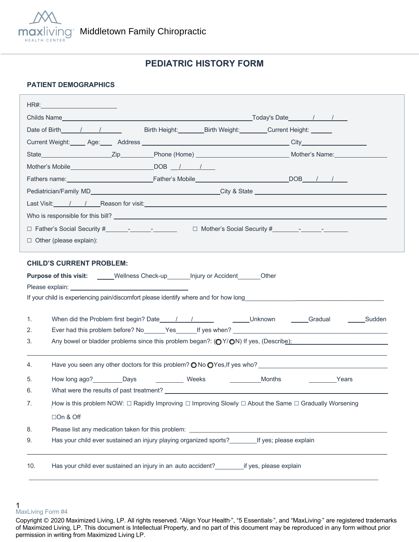

# **PEDIATRIC HISTORY FORM**

### **PATIENT DEMOGRAPHICS**

|                                                                                                                                                                                                                                      | HR#:___________________________                                                                        |  |  |  |  |
|--------------------------------------------------------------------------------------------------------------------------------------------------------------------------------------------------------------------------------------|--------------------------------------------------------------------------------------------------------|--|--|--|--|
|                                                                                                                                                                                                                                      |                                                                                                        |  |  |  |  |
|                                                                                                                                                                                                                                      | Date of Birth 1 1<br>Birth Height: Birth Weight: Current Height: Current Beight:                       |  |  |  |  |
|                                                                                                                                                                                                                                      |                                                                                                        |  |  |  |  |
|                                                                                                                                                                                                                                      |                                                                                                        |  |  |  |  |
|                                                                                                                                                                                                                                      |                                                                                                        |  |  |  |  |
|                                                                                                                                                                                                                                      |                                                                                                        |  |  |  |  |
|                                                                                                                                                                                                                                      |                                                                                                        |  |  |  |  |
| Last Visit: /// Reason for visit: <u>Alexander Control Control Control Control Control Control Control Control Control Control Control Control Control Control Control Control Control Control Control Control Control Control C</u> |                                                                                                        |  |  |  |  |
|                                                                                                                                                                                                                                      |                                                                                                        |  |  |  |  |
|                                                                                                                                                                                                                                      |                                                                                                        |  |  |  |  |
| $\Box$ Other (please explain):                                                                                                                                                                                                       |                                                                                                        |  |  |  |  |
|                                                                                                                                                                                                                                      |                                                                                                        |  |  |  |  |
|                                                                                                                                                                                                                                      | <b>CHILD'S CURRENT PROBLEM:</b>                                                                        |  |  |  |  |
| <b>Purpose of this visit:</b> _____Wellness Check-up_______ Injury or Accident_______Other                                                                                                                                           |                                                                                                        |  |  |  |  |
|                                                                                                                                                                                                                                      |                                                                                                        |  |  |  |  |
|                                                                                                                                                                                                                                      |                                                                                                        |  |  |  |  |
| 1.                                                                                                                                                                                                                                   |                                                                                                        |  |  |  |  |
| 2.                                                                                                                                                                                                                                   |                                                                                                        |  |  |  |  |
| 3.                                                                                                                                                                                                                                   | Any bowel or bladder problems since this problem began?: (OY/ON) If yes, (Describe):                   |  |  |  |  |
|                                                                                                                                                                                                                                      |                                                                                                        |  |  |  |  |
| 4.                                                                                                                                                                                                                                   | Have you seen any other doctors for this problem? $\bigcirc$ No $\bigcirc$ Yes, If yes who?            |  |  |  |  |
| 5.                                                                                                                                                                                                                                   | How long ago? Days<br>Weeks<br>Months<br><b>Example 2</b> Years                                        |  |  |  |  |
| 6.                                                                                                                                                                                                                                   |                                                                                                        |  |  |  |  |
| 7.                                                                                                                                                                                                                                   | How is this problem NOW: □ Rapidly Improving □ Improving Slowly □ About the Same □ Gradually Worsening |  |  |  |  |
|                                                                                                                                                                                                                                      | □On & Off                                                                                              |  |  |  |  |
| 8.                                                                                                                                                                                                                                   |                                                                                                        |  |  |  |  |
| 9.                                                                                                                                                                                                                                   | Has your child ever sustained an injury playing organized sports? If yes; please explain               |  |  |  |  |
|                                                                                                                                                                                                                                      |                                                                                                        |  |  |  |  |
| 10.                                                                                                                                                                                                                                  | Has your child ever sustained an injury in an auto accident? _______________if yes, please explain     |  |  |  |  |
|                                                                                                                                                                                                                                      |                                                                                                        |  |  |  |  |

<sup>1</sup>  MaxLiving Form #4

Copyright © 2020 Maximized Living, LP. All rights reserved. "Align Your Health<sup>®</sup>, "5 Essentials<sup>®</sup>, and "MaxLiving<sup>®</sup> are registered trademarks of Maximized Living, LP. This document is Intellectual Property, and no part of this document may be reproduced in any form without prior permission in writing from Maximized Living LP.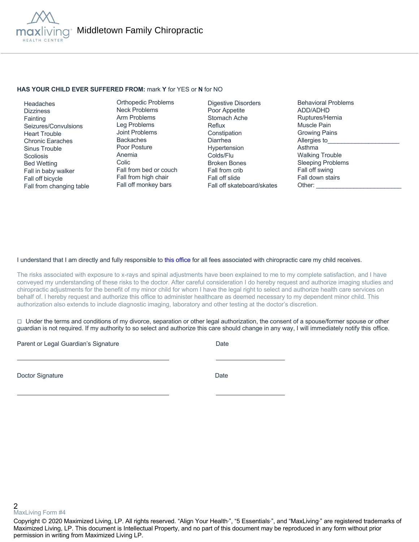

#### **HAS YOUR CHILD EVER SUFFERED FROM:** mark **Y** for YES or **N** for NO

 Headaches **Dizziness Fainting**  Seizures/Convulsions Heart Trouble Chronic Earaches Sinus Trouble **Scoliosis**  Bed Wetting Fall in baby walker Fall off bicycle Fall from changing table

Orthopedic Problems Neck Problems Arm Problems Leg Problems Joint Problems Backaches Poor Posture Anemia Colic Fall from bed or couch Fall from high chair Fall off monkey bars

Digestive Disorders Poor Appetite Stomach Ache Reflux **Constipation** Diarrhea Hypertension Colds/Flu Broken Bones Fall from crib Fall off slide Fall off skateboard/skates Behavioral Problems ADD/ADHD Ruptures/Hernia Muscle Pain Growing Pains Allergies to Asthma Walking Trouble Sleeping Problems Fall off swing Fall down stairs Other:

#### I understand that I am directly and fully responsible to this office for all fees associated with chiropractic care my child receives.

The risks associated with exposure to x-rays and spinal adjustments have been explained to me to my complete satisfaction, and I have conveyed my understanding of these risks to the doctor. After careful consideration I do hereby request and authorize imaging studies and chiropractic adjustments for the benefit of my minor child for whom I have the legal right to select and authorize health care services on behalf of. I hereby request and authorize this office to administer healthcare as deemed necessary to my dependent minor child. This authorization also extends to include diagnostic imaging, laboratory and other testing at the doctor's discretion.

 $\Box$  Under the terms and conditions of my divorce, separation or other legal authorization, the consent of a spouse/former spouse or other guardian is not required. If my authority to so select and authorize this care should change in any way, I will immediately notify this office.

Parent or Legal Guardian's Signature Date Date

Doctor Signature Date

2 MaxLiving Form #4

Copyright © 2020 Maximized Living, LP. All rights reserved. "Align Your Health<sub>"</sub>, "5 Essentials<sub>"</sub>, and "MaxLiving<sub>"</sub> are registered trademarks of Maximized Living, LP. This document is Intellectual Property, and no part of this document may be reproduced in any form without prior permission in writing from Maximized Living LP.